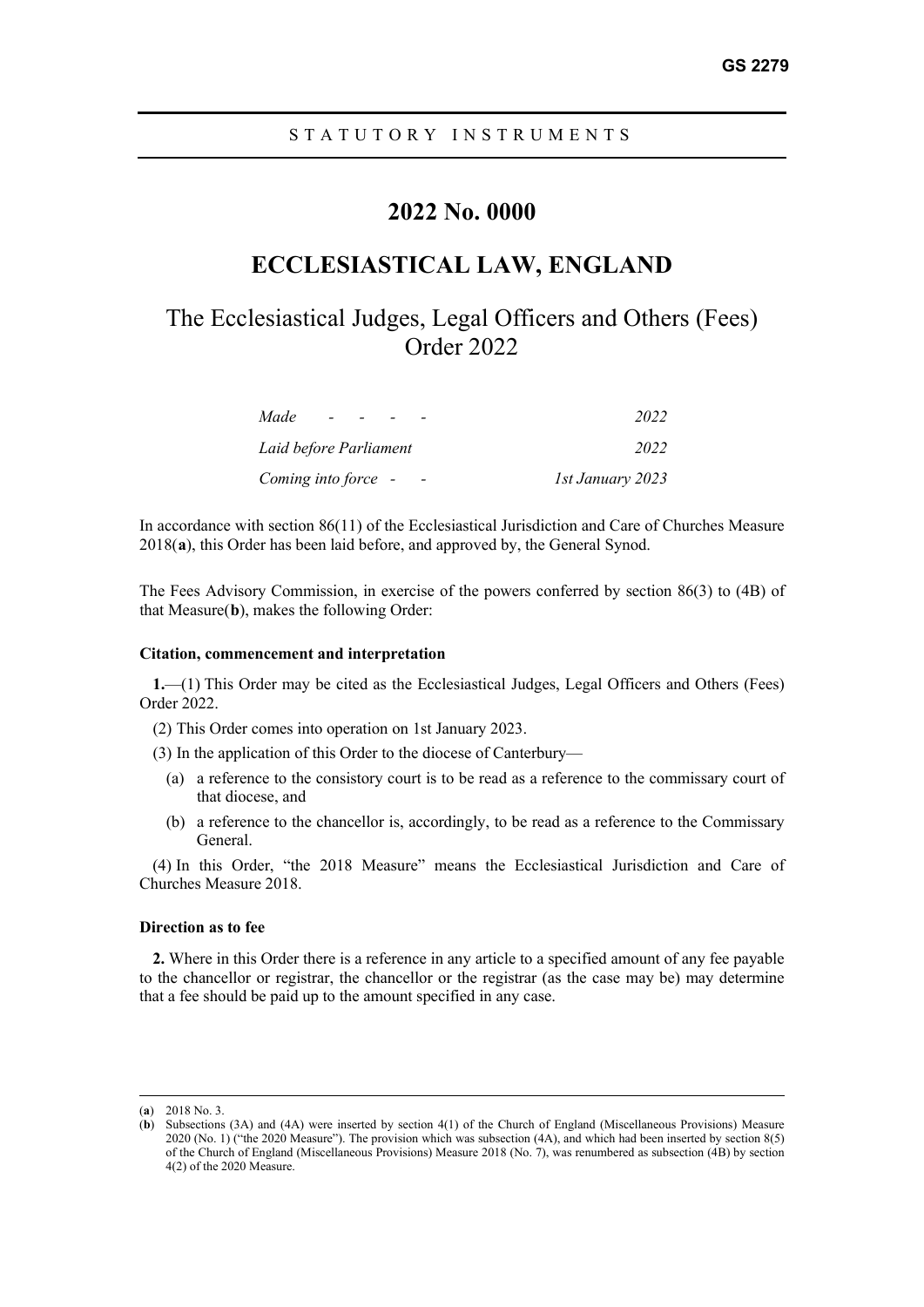## **2022 No. 0000**

## **ECCLESIASTICAL LAW, ENGLAND**

# The Ecclesiastical Judges, Legal Officers and Others (Fees) Order 2022

| Made<br>$ -$           | 2022             |
|------------------------|------------------|
| Laid before Parliament | 2022             |
| Coming into force -    | 1st January 2023 |

In accordance with section 86(11) of the Ecclesiastical Jurisdiction and Care of Churches Measure 2018(**[a](#page-0-0)**), this Order has been laid before, and approved by, the General Synod.

The Fees Advisory Commission, in exercise of the powers conferred by section 86(3) to (4B) of that Measure(**[b](#page-0-1)**), makes the following Order:

#### **Citation, commencement and interpretation**

**1.**—(1) This Order may be cited as the Ecclesiastical Judges, Legal Officers and Others (Fees) Order 2022.

- (2) This Order comes into operation on 1st January 2023.
- (3) In the application of this Order to the diocese of Canterbury—
	- (a) a reference to the consistory court is to be read as a reference to the commissary court of that diocese, and
	- (b) a reference to the chancellor is, accordingly, to be read as a reference to the Commissary General.

(4) In this Order, "the 2018 Measure" means the Ecclesiastical Jurisdiction and Care of Churches Measure 2018.

#### **Direction as to fee**

**2.** Where in this Order there is a reference in any article to a specified amount of any fee payable to the chancellor or registrar, the chancellor or the registrar (as the case may be) may determine that a fee should be paid up to the amount specified in any case.

<span id="page-0-0"></span><sup>(</sup>**a**) 2018 No. 3.

<span id="page-0-1"></span><sup>(</sup>**b**) Subsections (3A) and (4A) were inserted by section 4(1) of the Church of England (Miscellaneous Provisions) Measure 2020 (No. 1) ("the 2020 Measure"). The provision which was subsection (4A), and which had been inserted by section 8(5) of the Church of England (Miscellaneous Provisions) Measure 2018 (No. 7), was renumbered as subsection (4B) by section 4(2) of the 2020 Measure.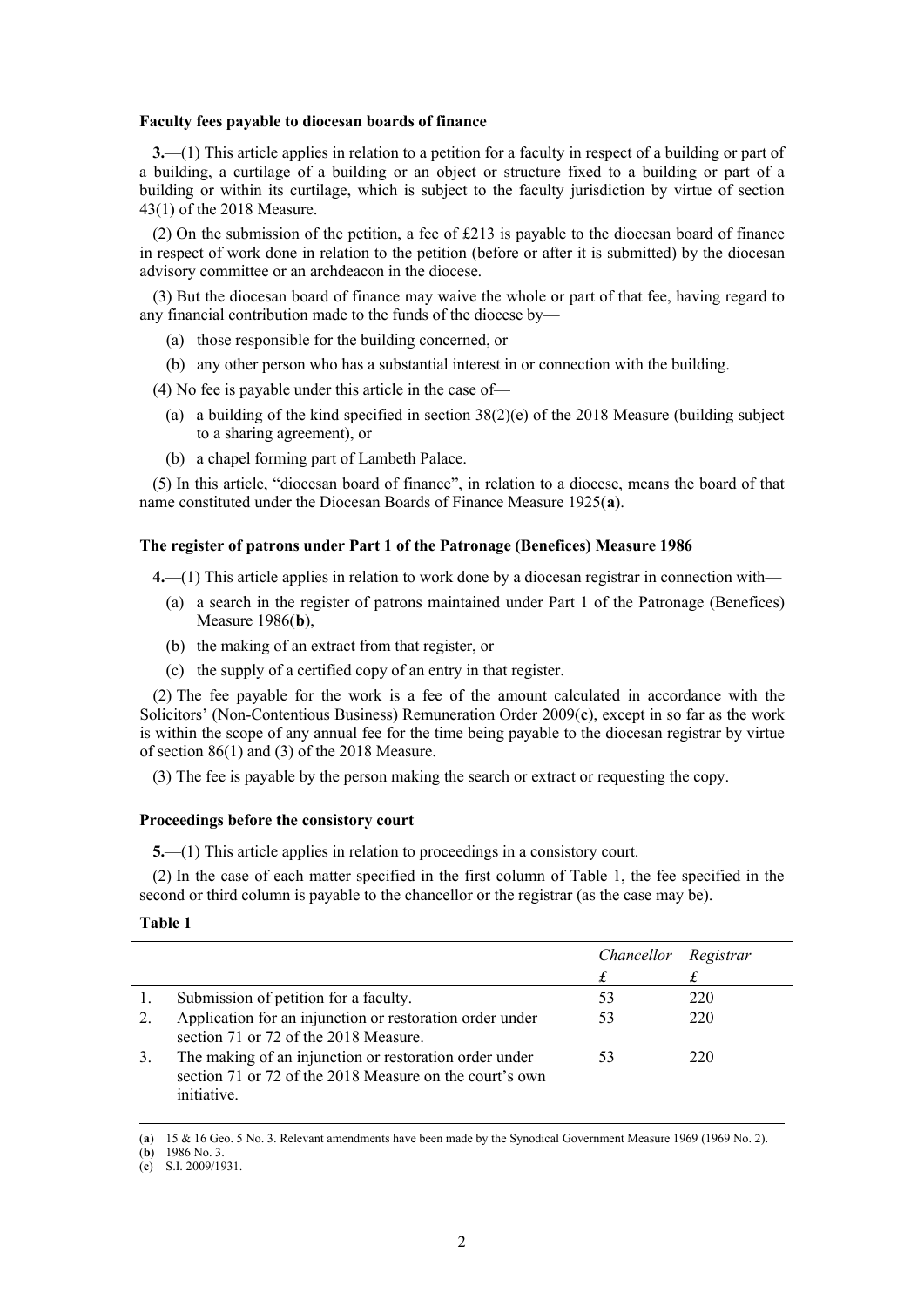#### **Faculty fees payable to diocesan boards of finance**

**3.**—(1) This article applies in relation to a petition for a faculty in respect of a building or part of a building, a curtilage of a building or an object or structure fixed to a building or part of a building or within its curtilage, which is subject to the faculty jurisdiction by virtue of section 43(1) of the 2018 Measure.

(2) On the submission of the petition, a fee of £213 is payable to the diocesan board of finance in respect of work done in relation to the petition (before or after it is submitted) by the diocesan advisory committee or an archdeacon in the diocese.

(3) But the diocesan board of finance may waive the whole or part of that fee, having regard to any financial contribution made to the funds of the diocese by—

- (a) those responsible for the building concerned, or
- (b) any other person who has a substantial interest in or connection with the building.

(4) No fee is payable under this article in the case of—

- (a) a building of the kind specified in section  $38(2)(e)$  of the 2018 Measure (building subject to a sharing agreement), or
- (b) a chapel forming part of Lambeth Palace.

(5) In this article, "diocesan board of finance", in relation to a diocese, means the board of that name constituted under the Diocesan Boards of Finance Measure 1925(**[a](#page-1-0)**).

#### **The register of patrons under Part 1 of the Patronage (Benefices) Measure 1986**

**4.**—(1) This article applies in relation to work done by a diocesan registrar in connection with—

- (a) a search in the register of patrons maintained under Part 1 of the Patronage (Benefices) Measure 1986(**[b](#page-1-1)**),
- (b) the making of an extract from that register, or
- (c) the supply of a certified copy of an entry in that register.

(2) The fee payable for the work is a fee of the amount calculated in accordance with the Solicitors' (Non-Contentious Business) Remuneration Order 2009(**[c](#page-1-2)**), except in so far as the work is within the scope of any annual fee for the time being payable to the diocesan registrar by virtue of section 86(1) and (3) of the 2018 Measure.

(3) The fee is payable by the person making the search or extract or requesting the copy.

#### **Proceedings before the consistory court**

**5.**—(1) This article applies in relation to proceedings in a consistory court.

(2) In the case of each matter specified in the first column of Table 1, the fee specified in the second or third column is payable to the chancellor or the registrar (as the case may be).

## **Table 1**

|    |                                                                                                                                  | Chancellor Registrar |     |
|----|----------------------------------------------------------------------------------------------------------------------------------|----------------------|-----|
|    |                                                                                                                                  |                      |     |
|    | Submission of petition for a faculty.                                                                                            | 53                   | 220 |
| 2. | Application for an injunction or restoration order under<br>section 71 or 72 of the 2018 Measure.                                | 53                   | 220 |
| 3. | The making of an injunction or restoration order under<br>section 71 or 72 of the 2018 Measure on the court's own<br>initiative. | 53                   | 220 |

<span id="page-1-0"></span>(**a**) 15 & 16 Geo. 5 No. 3. Relevant amendments have been made by the Synodical Government Measure 1969 (1969 No. 2).

<span id="page-1-1"></span><sup>(</sup>**b**) 1986 No. 3.

<span id="page-1-2"></span><sup>(</sup>**c**) S.I. 2009/1931.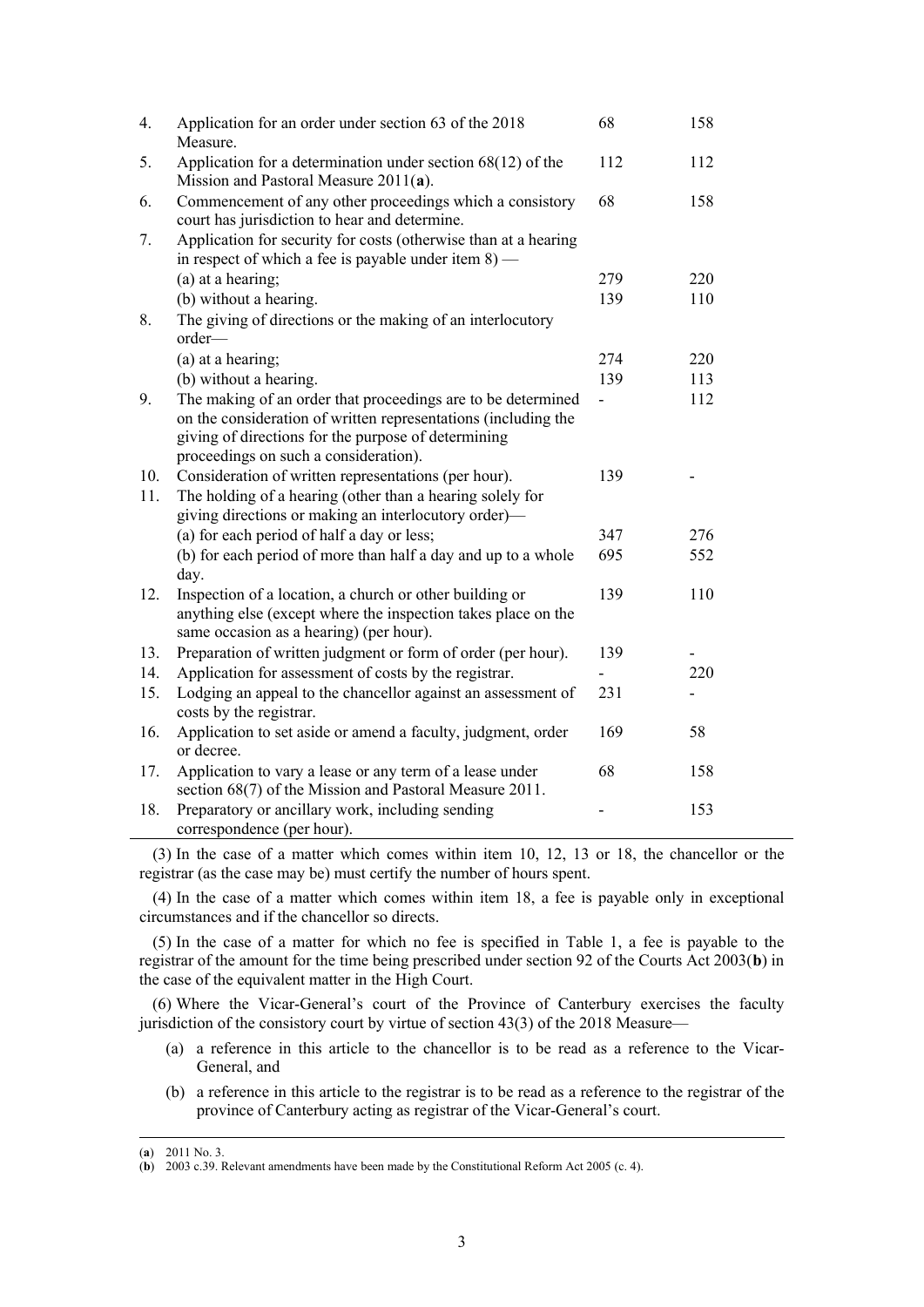| 4.  | Application for an order under section 63 of the 2018<br>Measure.                                                                                                                                                              | 68             | 158 |
|-----|--------------------------------------------------------------------------------------------------------------------------------------------------------------------------------------------------------------------------------|----------------|-----|
| 5.  | Application for a determination under section $68(12)$ of the<br>Mission and Pastoral Measure $2011(a)$ .                                                                                                                      | 112            | 112 |
| 6.  | Commencement of any other proceedings which a consistory<br>court has jurisdiction to hear and determine.                                                                                                                      | 68             | 158 |
| 7.  | Application for security for costs (otherwise than at a hearing<br>in respect of which a fee is payable under item $8$ ) —                                                                                                     |                |     |
|     | (a) at a hearing;                                                                                                                                                                                                              | 279            | 220 |
|     | (b) without a hearing.                                                                                                                                                                                                         | 139            | 110 |
| 8.  | The giving of directions or the making of an interlocutory<br>order-                                                                                                                                                           |                |     |
|     | (a) at a hearing;                                                                                                                                                                                                              | 274            | 220 |
|     | (b) without a hearing.                                                                                                                                                                                                         | 139            | 113 |
| 9.  | The making of an order that proceedings are to be determined<br>on the consideration of written representations (including the<br>giving of directions for the purpose of determining<br>proceedings on such a consideration). | $\overline{a}$ | 112 |
| 10. | Consideration of written representations (per hour).                                                                                                                                                                           | 139            |     |
| 11. | The holding of a hearing (other than a hearing solely for<br>giving directions or making an interlocutory order)—                                                                                                              |                |     |
|     | (a) for each period of half a day or less;                                                                                                                                                                                     | 347            | 276 |
|     | (b) for each period of more than half a day and up to a whole<br>day.                                                                                                                                                          | 695            | 552 |
| 12. | Inspection of a location, a church or other building or<br>anything else (except where the inspection takes place on the<br>same occasion as a hearing) (per hour).                                                            | 139            | 110 |
| 13. | Preparation of written judgment or form of order (per hour).                                                                                                                                                                   | 139            |     |
| 14. | Application for assessment of costs by the registrar.                                                                                                                                                                          |                | 220 |
| 15. | Lodging an appeal to the chancellor against an assessment of<br>costs by the registrar.                                                                                                                                        | 231            |     |
| 16. | Application to set aside or amend a faculty, judgment, order<br>or decree.                                                                                                                                                     | 169            | 58  |
| 17. | Application to vary a lease or any term of a lease under<br>section 68(7) of the Mission and Pastoral Measure 2011.                                                                                                            | 68             | 158 |
| 18. | Preparatory or ancillary work, including sending<br>correspondence (per hour).                                                                                                                                                 |                | 153 |

(3) In the case of a matter which comes within item 10, 12, 13 or 18, the chancellor or the registrar (as the case may be) must certify the number of hours spent.

(4) In the case of a matter which comes within item 18, a fee is payable only in exceptional circumstances and if the chancellor so directs.

(5) In the case of a matter for which no fee is specified in Table 1, a fee is payable to the registrar of the amount for the time being prescribed under section 92 of the Courts Act 2003(**[b](#page-2-1)**) in the case of the equivalent matter in the High Court.

(6) Where the Vicar-General's court of the Province of Canterbury exercises the faculty jurisdiction of the consistory court by virtue of section 43(3) of the 2018 Measure—

- (a) a reference in this article to the chancellor is to be read as a reference to the Vicar-General, and
- (b) a reference in this article to the registrar is to be read as a reference to the registrar of the province of Canterbury acting as registrar of the Vicar-General's court.

<span id="page-2-1"></span><span id="page-2-0"></span><sup>(</sup>**a**) 2011 No. 3.

<sup>(</sup>**b**) 2003 c.39. Relevant amendments have been made by the Constitutional Reform Act 2005 (c. 4).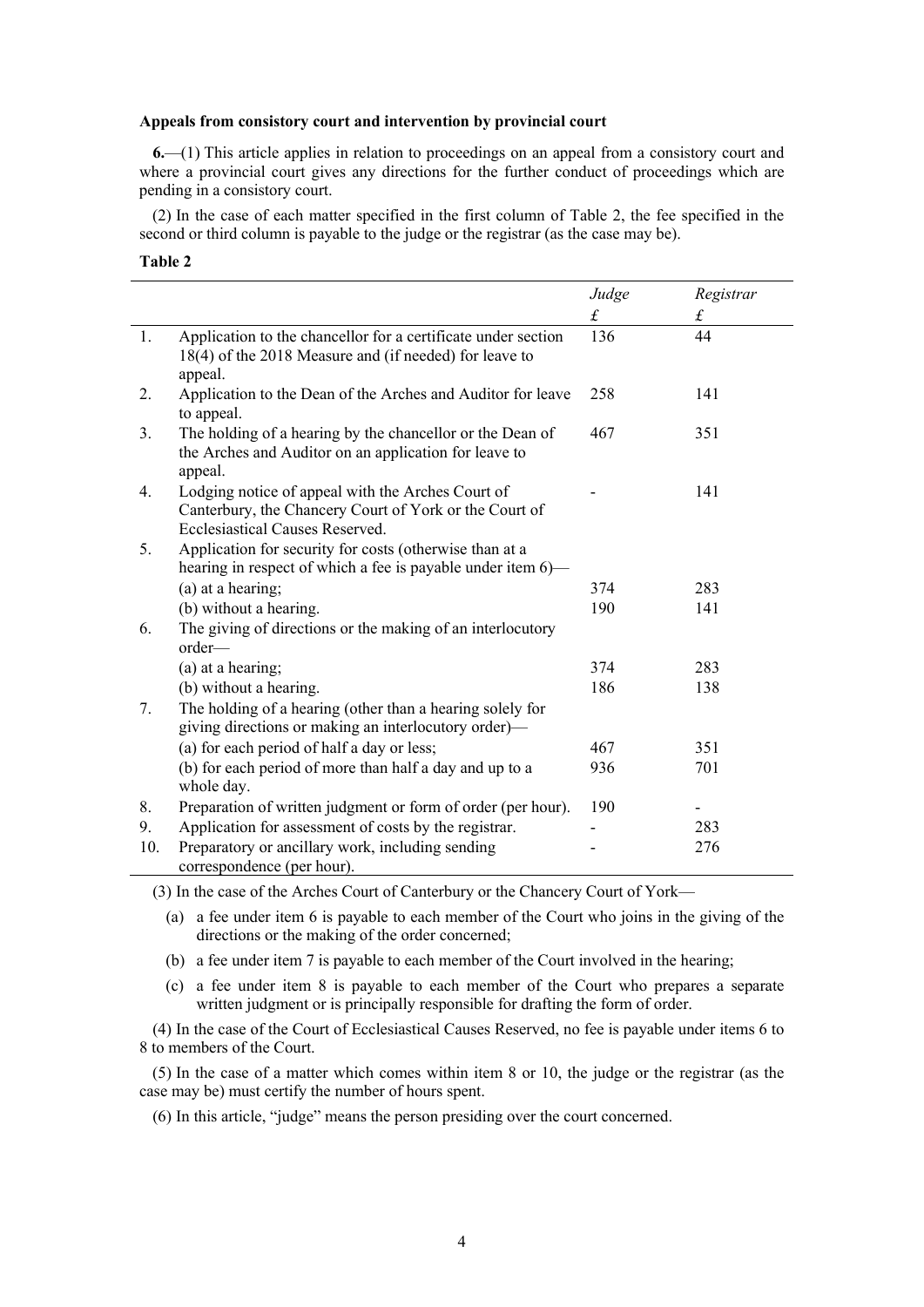#### **Appeals from consistory court and intervention by provincial court**

**6.**—(1) This article applies in relation to proceedings on an appeal from a consistory court and where a provincial court gives any directions for the further conduct of proceedings which are pending in a consistory court.

(2) In the case of each matter specified in the first column of Table 2, the fee specified in the second or third column is payable to the judge or the registrar (as the case may be).

### **Table 2**

|     |                                                                                                                                                | Judge     | Registrar |
|-----|------------------------------------------------------------------------------------------------------------------------------------------------|-----------|-----------|
|     |                                                                                                                                                | $\pounds$ | $\pounds$ |
| 1.  | Application to the chancellor for a certificate under section<br>18(4) of the 2018 Measure and (if needed) for leave to<br>appeal.             | 136       | 44        |
| 2.  | Application to the Dean of the Arches and Auditor for leave<br>to appeal.                                                                      | 258       | 141       |
| 3.  | The holding of a hearing by the chancellor or the Dean of<br>the Arches and Auditor on an application for leave to<br>appeal.                  | 467       | 351       |
| 4.  | Lodging notice of appeal with the Arches Court of<br>Canterbury, the Chancery Court of York or the Court of<br>Ecclesiastical Causes Reserved. |           | 141       |
| 5.  | Application for security for costs (otherwise than at a<br>hearing in respect of which a fee is payable under item 6)—                         |           |           |
|     | (a) at a hearing;                                                                                                                              | 374       | 283       |
|     | (b) without a hearing.                                                                                                                         | 190       | 141       |
| 6.  | The giving of directions or the making of an interlocutory<br>order—                                                                           |           |           |
|     | (a) at a hearing;                                                                                                                              | 374       | 283       |
|     | (b) without a hearing.                                                                                                                         | 186       | 138       |
| 7.  | The holding of a hearing (other than a hearing solely for<br>giving directions or making an interlocutory order)-                              |           |           |
|     | (a) for each period of half a day or less;                                                                                                     | 467       | 351       |
|     | (b) for each period of more than half a day and up to a<br>whole day.                                                                          | 936       | 701       |
| 8.  | Preparation of written judgment or form of order (per hour).                                                                                   | 190       |           |
| 9.  | Application for assessment of costs by the registrar.                                                                                          |           | 283       |
| 10. | Preparatory or ancillary work, including sending<br>correspondence (per hour).                                                                 |           | 276       |

(3) In the case of the Arches Court of Canterbury or the Chancery Court of York—

(a) a fee under item 6 is payable to each member of the Court who joins in the giving of the directions or the making of the order concerned;

- (b) a fee under item 7 is payable to each member of the Court involved in the hearing;
- (c) a fee under item 8 is payable to each member of the Court who prepares a separate written judgment or is principally responsible for drafting the form of order.

(4) In the case of the Court of Ecclesiastical Causes Reserved, no fee is payable under items 6 to 8 to members of the Court.

(5) In the case of a matter which comes within item 8 or 10, the judge or the registrar (as the case may be) must certify the number of hours spent.

(6) In this article, "judge" means the person presiding over the court concerned.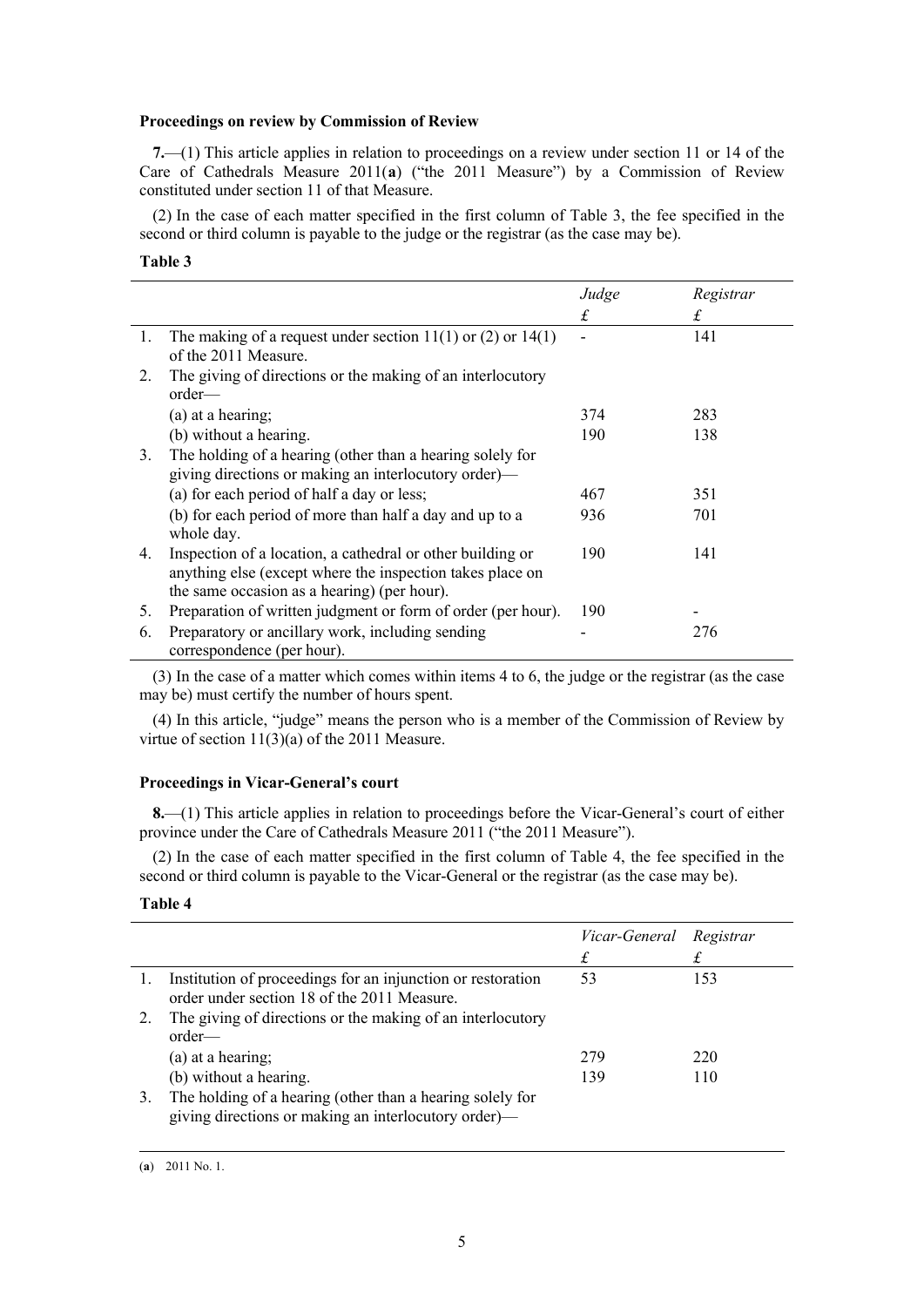## **Proceedings on review by Commission of Review**

**7.**—(1) This article applies in relation to proceedings on a review under section 11 or 14 of the Care of Cathedrals Measure 2011(**[a](#page-4-0)**) ("the 2011 Measure") by a Commission of Review constituted under section 11 of that Measure.

(2) In the case of each matter specified in the first column of Table 3, the fee specified in the second or third column is payable to the judge or the registrar (as the case may be).

## **Table 3**

|    |                                                                                                                                                                        | Judge | Registrar |
|----|------------------------------------------------------------------------------------------------------------------------------------------------------------------------|-------|-----------|
|    |                                                                                                                                                                        | £     | £         |
| 1. | The making of a request under section $11(1)$ or $(2)$ or $14(1)$<br>of the 2011 Measure.                                                                              |       | 141       |
| 2. | The giving of directions or the making of an interlocutory<br>$order$ —                                                                                                |       |           |
|    | (a) at a hearing;                                                                                                                                                      | 374   | 283       |
|    | (b) without a hearing.                                                                                                                                                 | 190   | 138       |
| 3. | The holding of a hearing (other than a hearing solely for<br>giving directions or making an interlocutory order)—                                                      |       |           |
|    | (a) for each period of half a day or less;                                                                                                                             | 467   | 351       |
|    | (b) for each period of more than half a day and up to a<br>whole day.                                                                                                  | 936   | 701       |
| 4. | Inspection of a location, a cathedral or other building or<br>anything else (except where the inspection takes place on<br>the same occasion as a hearing) (per hour). | 190   | 141       |
| 5. | Preparation of written judgment or form of order (per hour).                                                                                                           | 190   |           |
| 6. | Preparatory or ancillary work, including sending<br>correspondence (per hour).                                                                                         |       | 276       |

(3) In the case of a matter which comes within items 4 to 6, the judge or the registrar (as the case may be) must certify the number of hours spent.

(4) In this article, "judge" means the person who is a member of the Commission of Review by virtue of section 11(3)(a) of the 2011 Measure.

### **Proceedings in Vicar-General's court**

**8.**—(1) This article applies in relation to proceedings before the Vicar-General's court of either province under the Care of Cathedrals Measure 2011 ("the 2011 Measure").

(2) In the case of each matter specified in the first column of Table 4, the fee specified in the second or third column is payable to the Vicar-General or the registrar (as the case may be).

## **Table 4**

<span id="page-4-0"></span>

|    |                                                                                                                   | Vicar-General Registrar<br>£ |     |
|----|-------------------------------------------------------------------------------------------------------------------|------------------------------|-----|
| 1. | Institution of proceedings for an injunction or restoration<br>order under section 18 of the 2011 Measure.        | 53                           | 153 |
|    | The giving of directions or the making of an interlocutory<br>$order$ —                                           |                              |     |
|    | (a) at a hearing;                                                                                                 | 279                          | 220 |
|    | (b) without a hearing.                                                                                            | 139                          | 110 |
| 3. | The holding of a hearing (other than a hearing solely for<br>giving directions or making an interlocutory order)— |                              |     |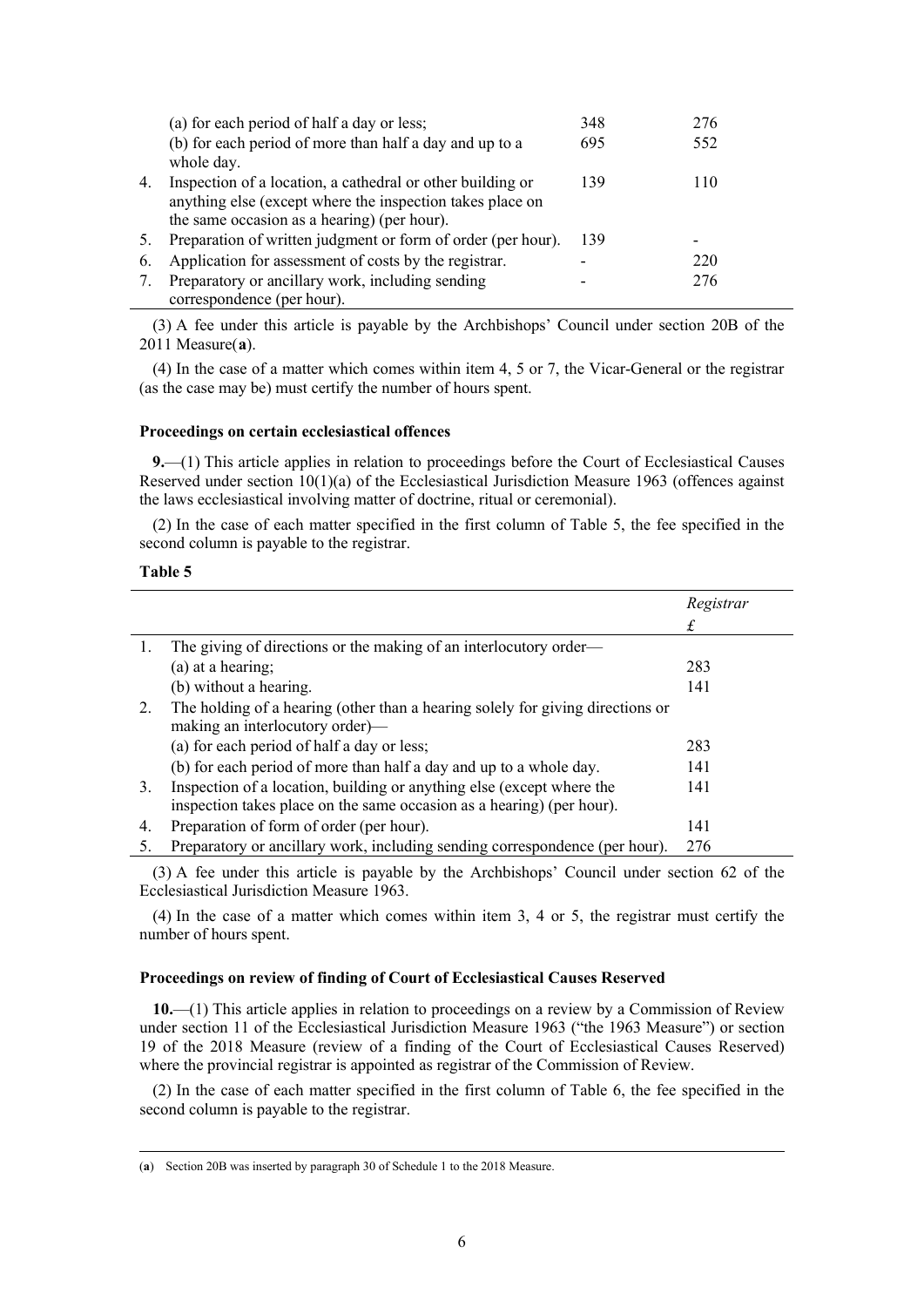|    | (a) for each period of half a day or less;                                                                                                                             | 348 | 276 |
|----|------------------------------------------------------------------------------------------------------------------------------------------------------------------------|-----|-----|
|    | (b) for each period of more than half a day and up to a<br>whole day.                                                                                                  | 695 | 552 |
| 4. | Inspection of a location, a cathedral or other building or<br>anything else (except where the inspection takes place on<br>the same occasion as a hearing) (per hour). | 139 | 110 |
| 5. | Preparation of written judgment or form of order (per hour).                                                                                                           | 139 |     |
| 6. | Application for assessment of costs by the registrar.                                                                                                                  |     | 220 |
| 7. | Preparatory or ancillary work, including sending<br>correspondence (per hour).                                                                                         |     | 276 |

(3) A fee under this article is payable by the Archbishops' Council under section 20B of the 2011 Measure(**[a](#page-5-0)**).

(4) In the case of a matter which comes within item 4, 5 or 7, the Vicar-General or the registrar (as the case may be) must certify the number of hours spent.

## **Proceedings on certain ecclesiastical offences**

**9.**—(1) This article applies in relation to proceedings before the Court of Ecclesiastical Causes Reserved under section  $10(1)(a)$  of the Ecclesiastical Jurisdiction Measure 1963 (offences against the laws ecclesiastical involving matter of doctrine, ritual or ceremonial).

(2) In the case of each matter specified in the first column of Table 5, the fee specified in the second column is payable to the registrar.

## **Table 5**

|    |                                                                                | Registrar |
|----|--------------------------------------------------------------------------------|-----------|
|    |                                                                                | £         |
| 1. | The giving of directions or the making of an interlocutory order—              |           |
|    | (a) at a hearing;                                                              | 283       |
|    | (b) without a hearing.                                                         | 141       |
| 2. | The holding of a hearing (other than a hearing solely for giving directions or |           |
|    | making an interlocutory order)—                                                |           |
|    | (a) for each period of half a day or less;                                     | 283       |
|    | (b) for each period of more than half a day and up to a whole day.             | 141       |
| 3. | Inspection of a location, building or anything else (except where the          | 141       |
|    | inspection takes place on the same occasion as a hearing) (per hour).          |           |
| 4. | Preparation of form of order (per hour).                                       | 141       |
|    | Preparatory or ancillary work, including sending correspondence (per hour).    | 276       |

(3) A fee under this article is payable by the Archbishops' Council under section 62 of the Ecclesiastical Jurisdiction Measure 1963.

(4) In the case of a matter which comes within item 3, 4 or 5, the registrar must certify the number of hours spent.

## **Proceedings on review of finding of Court of Ecclesiastical Causes Reserved**

**10.**—(1) This article applies in relation to proceedings on a review by a Commission of Review under section 11 of the Ecclesiastical Jurisdiction Measure 1963 ("the 1963 Measure") or section 19 of the 2018 Measure (review of a finding of the Court of Ecclesiastical Causes Reserved) where the provincial registrar is appointed as registrar of the Commission of Review.

(2) In the case of each matter specified in the first column of Table 6, the fee specified in the second column is payable to the registrar.

<span id="page-5-0"></span><sup>(</sup>**a**) Section 20B was inserted by paragraph 30 of Schedule 1 to the 2018 Measure.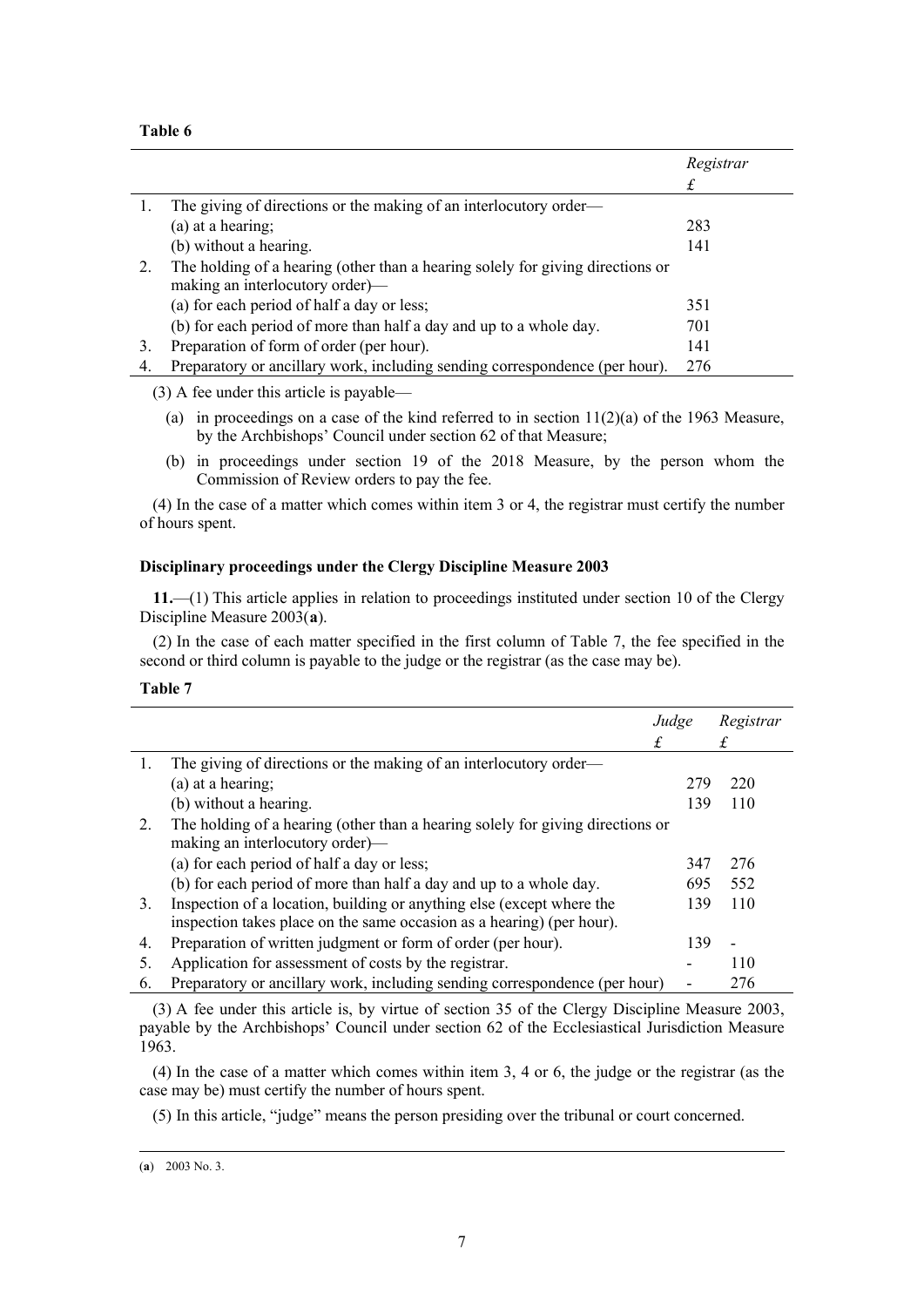## **Table 6**

|    |                                                                                | Registrar |
|----|--------------------------------------------------------------------------------|-----------|
|    |                                                                                | £         |
|    | The giving of directions or the making of an interlocutory order—              |           |
|    | $(a)$ at a hearing;                                                            | 283       |
|    | (b) without a hearing.                                                         | 141       |
| 2. | The holding of a hearing (other than a hearing solely for giving directions or |           |
|    | making an interlocutory order)—                                                |           |
|    | (a) for each period of half a day or less;                                     | 351       |
|    | (b) for each period of more than half a day and up to a whole day.             | 701       |
| 3. | Preparation of form of order (per hour).                                       | 141       |
| 4. | Preparatory or ancillary work, including sending correspondence (per hour).    | 276       |

(3) A fee under this article is payable—

- (a) in proceedings on a case of the kind referred to in section  $11(2)(a)$  of the 1963 Measure, by the Archbishops' Council under section 62 of that Measure;
- (b) in proceedings under section 19 of the 2018 Measure, by the person whom the Commission of Review orders to pay the fee.

(4) In the case of a matter which comes within item 3 or 4, the registrar must certify the number of hours spent.

## **Disciplinary proceedings under the Clergy Discipline Measure 2003**

**11.**—(1) This article applies in relation to proceedings instituted under section 10 of the Clergy Discipline Measure 2003(**[a](#page-6-0)**).

(2) In the case of each matter specified in the first column of Table 7, the fee specified in the second or third column is payable to the judge or the registrar (as the case may be).

## **Table 7**

|    |                                                                                                                                                | Judge | Registrar                |
|----|------------------------------------------------------------------------------------------------------------------------------------------------|-------|--------------------------|
|    |                                                                                                                                                |       |                          |
| 1. | The giving of directions or the making of an interlocutory order—                                                                              |       |                          |
|    | (a) at a hearing;                                                                                                                              | 279   | 220                      |
|    | (b) without a hearing.                                                                                                                         | 139   | 110                      |
| 2. | The holding of a hearing (other than a hearing solely for giving directions or<br>making an interlocutory order)—                              |       |                          |
|    | (a) for each period of half a day or less;                                                                                                     | 347   | 276                      |
|    | (b) for each period of more than half a day and up to a whole day.                                                                             | 695   | 552                      |
| 3. | Inspection of a location, building or anything else (except where the<br>inspection takes place on the same occasion as a hearing) (per hour). | 139   | 110                      |
| 4. | Preparation of written judgment or form of order (per hour).                                                                                   | 139   | $\overline{\phantom{0}}$ |
| 5. | Application for assessment of costs by the registrar.                                                                                          |       | 110                      |
| 6. | Preparatory or ancillary work, including sending correspondence (per hour)                                                                     |       | 276                      |

(3) A fee under this article is, by virtue of section 35 of the Clergy Discipline Measure 2003, payable by the Archbishops' Council under section 62 of the Ecclesiastical Jurisdiction Measure 1963.

(4) In the case of a matter which comes within item 3, 4 or 6, the judge or the registrar (as the case may be) must certify the number of hours spent.

(5) In this article, "judge" means the person presiding over the tribunal or court concerned.

<span id="page-6-0"></span><sup>(</sup>**a**) 2003 No. 3.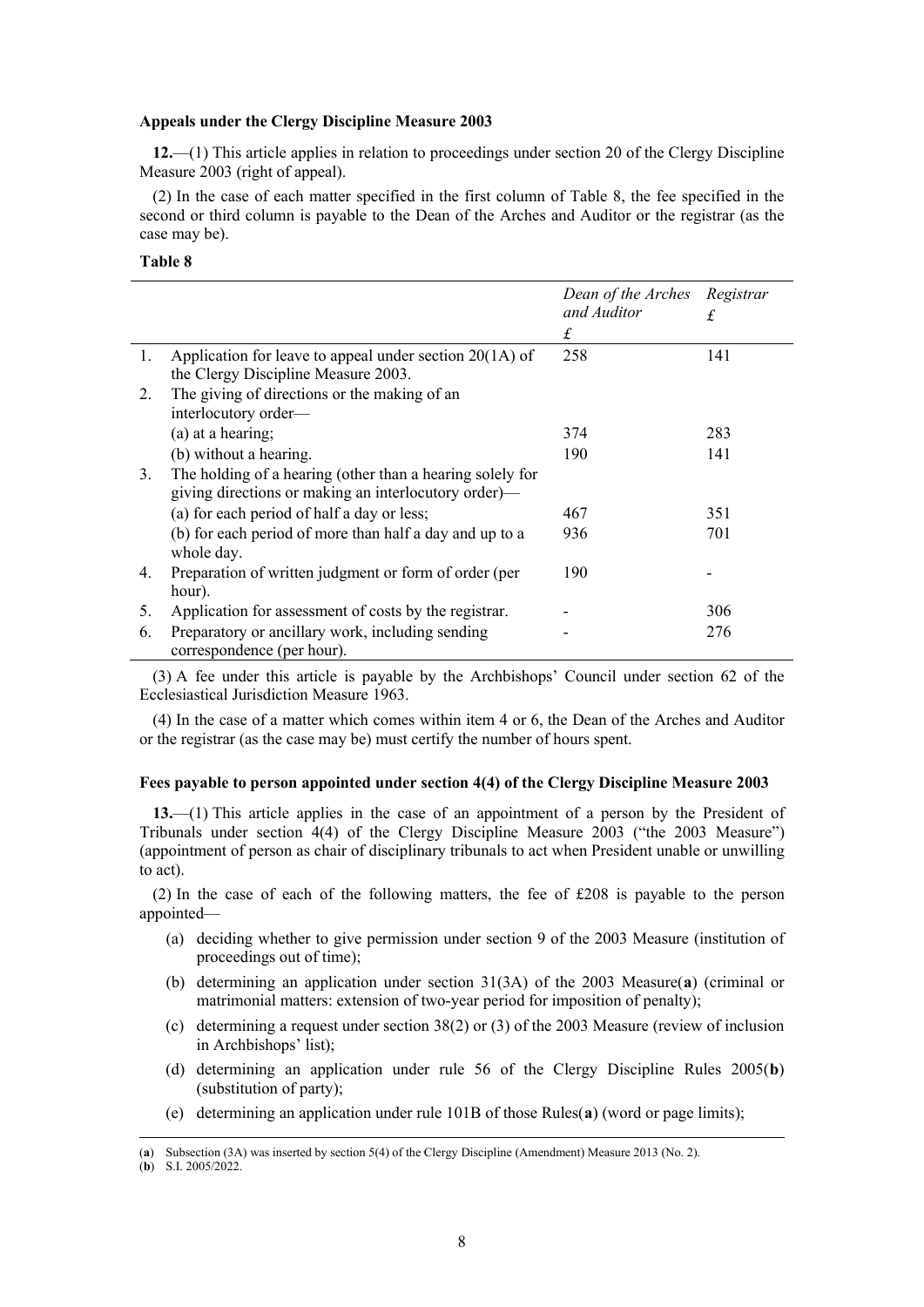#### **Appeals under the Clergy Discipline Measure 2003**

**12.**—(1) This article applies in relation to proceedings under section 20 of the Clergy Discipline Measure 2003 (right of appeal).

(2) In the case of each matter specified in the first column of Table 8, the fee specified in the second or third column is payable to the Dean of the Arches and Auditor or the registrar (as the case may be).

## **Table 8**

|    |                                                                                                                   | Dean of the Arches Registrar<br>and Auditor<br>£ | £   |
|----|-------------------------------------------------------------------------------------------------------------------|--------------------------------------------------|-----|
| 1. | Application for leave to appeal under section $20(1A)$ of<br>the Clergy Discipline Measure 2003.                  | 258                                              | 141 |
| 2. | The giving of directions or the making of an<br>interlocutory order—                                              |                                                  |     |
|    | (a) at a hearing;                                                                                                 | 374                                              | 283 |
|    | (b) without a hearing.                                                                                            | 190                                              | 141 |
| 3. | The holding of a hearing (other than a hearing solely for<br>giving directions or making an interlocutory order)— |                                                  |     |
|    | (a) for each period of half a day or less;                                                                        | 467                                              | 351 |
|    | (b) for each period of more than half a day and up to a<br>whole day.                                             | 936                                              | 701 |
| 4. | Preparation of written judgment or form of order (per                                                             | 190                                              |     |
|    | hour).                                                                                                            |                                                  |     |
| 5. | Application for assessment of costs by the registrar.                                                             |                                                  | 306 |
| 6. | Preparatory or ancillary work, including sending<br>correspondence (per hour).                                    |                                                  | 276 |

(3) A fee under this article is payable by the Archbishops' Council under section 62 of the Ecclesiastical Jurisdiction Measure 1963.

(4) In the case of a matter which comes within item 4 or 6, the Dean of the Arches and Auditor or the registrar (as the case may be) must certify the number of hours spent.

### **Fees payable to person appointed under section 4(4) of the Clergy Discipline Measure 2003**

**13.**—(1) This article applies in the case of an appointment of a person by the President of Tribunals under section 4(4) of the Clergy Discipline Measure 2003 ("the 2003 Measure") (appointment of person as chair of disciplinary tribunals to act when President unable or unwilling to act).

(2) In the case of each of the following matters, the fee of £208 is payable to the person appointed—

- (a) deciding whether to give permission under section 9 of the 2003 Measure (institution of proceedings out of time);
- <span id="page-7-2"></span>(b) determining an application under section 31(3A) of the 2003 Measure(**[a](#page-7-0)**) (criminal or matrimonial matters: extension of two-year period for imposition of penalty);
- (c) determining a request under section 38(2) or (3) of the 2003 Measure (review of inclusion in Archbishops' list);
- (d) determining an application under rule 56 of the Clergy Discipline Rules 2005(**[b](#page-7-1)**) (substitution of party);
- (e) determining an application under rule 101B of those Rules(**[a](#page-7-2)**) (word or page limits);

<span id="page-7-0"></span><sup>(</sup>**a**) Subsection (3A) was inserted by section 5(4) of the Clergy Discipline (Amendment) Measure 2013 (No. 2).

<span id="page-7-1"></span><sup>(</sup>**b**) S.I. 2005/2022.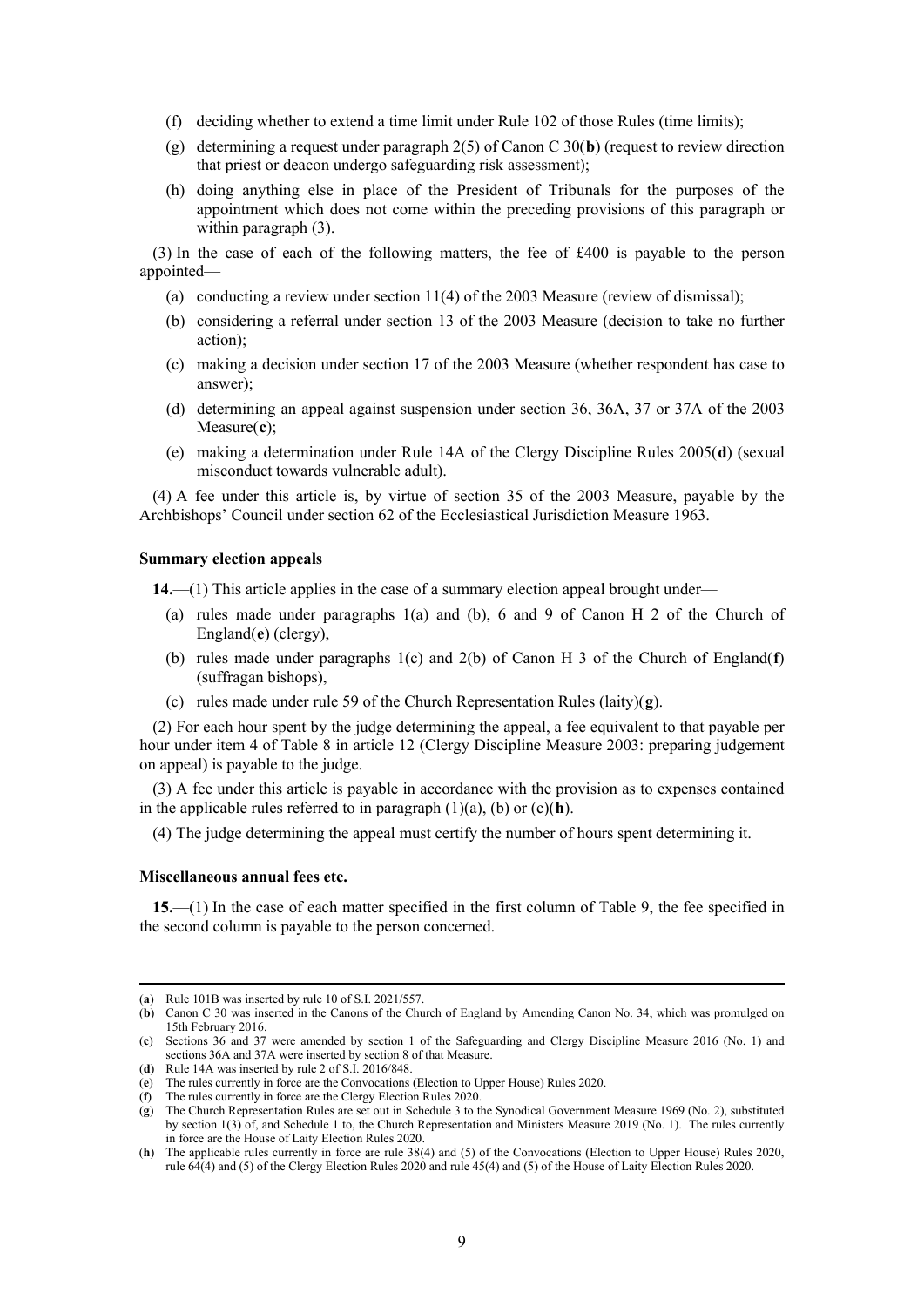- (f) deciding whether to extend a time limit under Rule 102 of those Rules (time limits);
- (g) determining a request under paragraph 2(5) of Canon C 30(**[b](#page-8-0)**) (request to review direction that priest or deacon undergo safeguarding risk assessment);
- (h) doing anything else in place of the President of Tribunals for the purposes of the appointment which does not come within the preceding provisions of this paragraph or within paragraph (3).

(3) In the case of each of the following matters, the fee of £400 is payable to the person appointed—

- (a) conducting a review under section 11(4) of the 2003 Measure (review of dismissal);
- (b) considering a referral under section 13 of the 2003 Measure (decision to take no further action);
- (c) making a decision under section 17 of the 2003 Measure (whether respondent has case to answer);
- (d) determining an appeal against suspension under section 36, 36A, 37 or 37A of the 2003 Measure(**[c](#page-8-1)**);
- (e) making a determination under Rule 14A of the Clergy Discipline Rules 2005(**[d](#page-8-2)**) (sexual misconduct towards vulnerable adult).

(4) A fee under this article is, by virtue of section 35 of the 2003 Measure, payable by the Archbishops' Council under section 62 of the Ecclesiastical Jurisdiction Measure 1963.

### **Summary election appeals**

**14.**—(1) This article applies in the case of a summary election appeal brought under—

- (a) rules made under paragraphs 1(a) and (b), 6 and 9 of Canon H 2 of the Church of England(**[e](#page-8-3)**) (clergy),
- (b) rules made under paragraphs 1(c) and 2(b) of Canon H 3 of the Church of England(**[f](#page-8-4)**) (suffragan bishops),
- (c) rules made under rule 59 of the Church Representation Rules (laity)(**[g](#page-8-5)**).

(2) For each hour spent by the judge determining the appeal, a fee equivalent to that payable per hour under item 4 of Table 8 in article 12 (Clergy Discipline Measure 2003: preparing judgement on appeal) is payable to the judge.

(3) A fee under this article is payable in accordance with the provision as to expenses contained in the applicable rules referred to in paragraph (1)(a), (b) or (c)(**[h](#page-8-6)**).

(4) The judge determining the appeal must certify the number of hours spent determining it.

#### **Miscellaneous annual fees etc.**

**15.**—(1) In the case of each matter specified in the first column of Table 9, the fee specified in the second column is payable to the person concerned.

<sup>(</sup>**a**) Rule 101B was inserted by rule 10 of S.I. 2021/557.

<span id="page-8-0"></span><sup>(</sup>**b**) Canon C 30 was inserted in the Canons of the Church of England by Amending Canon No. 34, which was promulged on 15th February 2016.

<span id="page-8-1"></span><sup>(</sup>**c**) Sections 36 and 37 were amended by section 1 of the Safeguarding and Clergy Discipline Measure 2016 (No. 1) and sections 36A and 37A were inserted by section 8 of that Measure.

<span id="page-8-2"></span><sup>(</sup>**d**) Rule 14A was inserted by rule 2 of S.I. 2016/848.

<span id="page-8-3"></span><sup>(</sup>**e**) The rules currently in force are the Convocations (Election to Upper House) Rules 2020.

<span id="page-8-4"></span><sup>(</sup>**f**) The rules currently in force are the Clergy Election Rules 2020.

<span id="page-8-5"></span><sup>(</sup>**g**) The Church Representation Rules are set out in Schedule 3 to the Synodical Government Measure 1969 (No. 2), substituted by section 1(3) of, and Schedule 1 to, the Church Representation and Ministers Measure 2019 (No. 1). The rules currently in force are the House of Laity Election Rules 2020.

<span id="page-8-6"></span><sup>(</sup>**h**) The applicable rules currently in force are rule 38(4) and (5) of the Convocations (Election to Upper House) Rules 2020, rule 64(4) and (5) of the Clergy Election Rules 2020 and rule 45(4) and (5) of the House of Laity Election Rules 2020.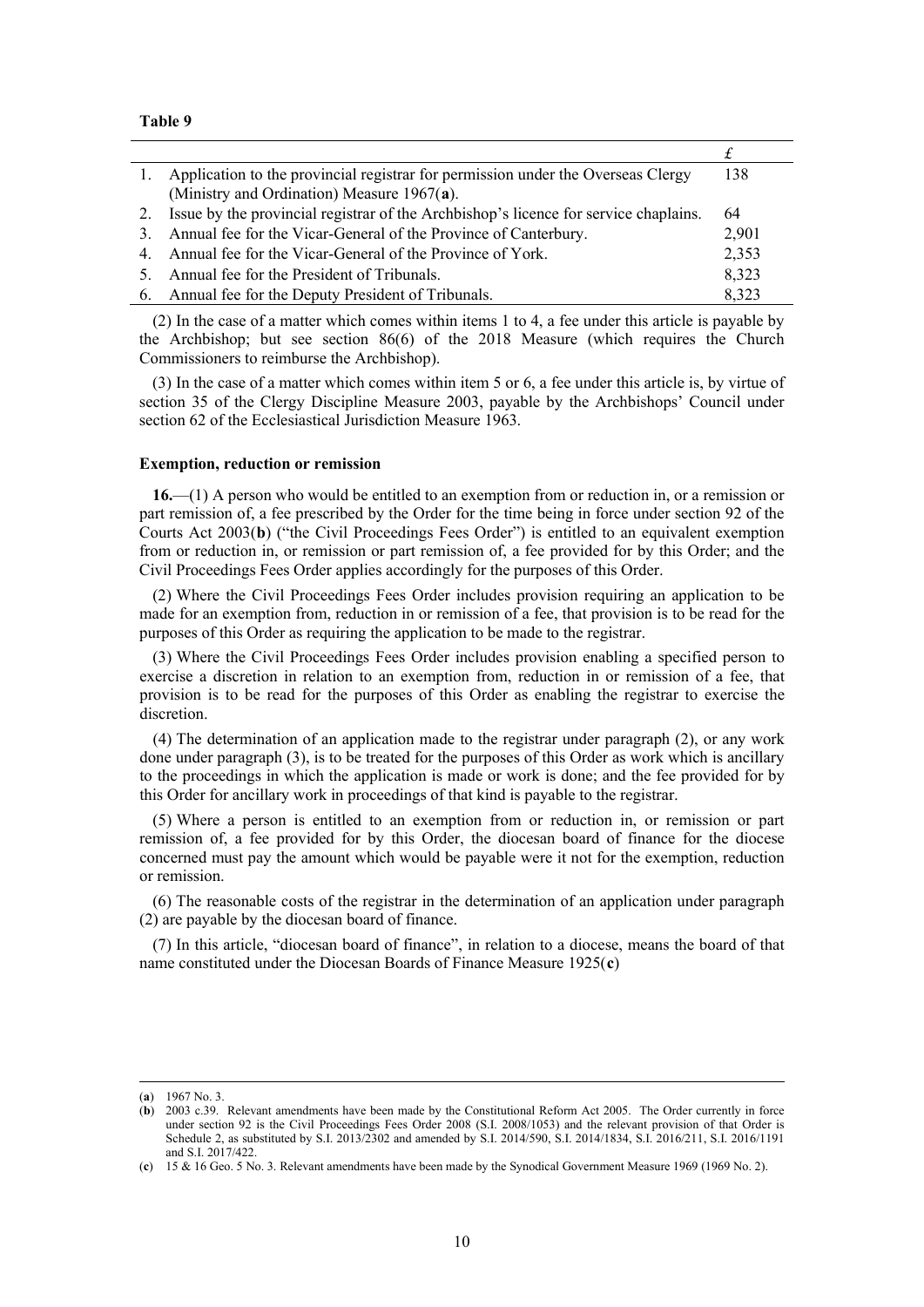#### **Table 9**

|    | 1. Application to the provincial registrar for permission under the Overseas Clergy     | 138   |
|----|-----------------------------------------------------------------------------------------|-------|
|    | (Ministry and Ordination) Measure 1967(a).                                              |       |
|    | 2. Issue by the provincial registrar of the Archbishop's licence for service chaplains. | 64    |
| 3. | Annual fee for the Vicar-General of the Province of Canterbury.                         | 2,901 |
|    | 4. Annual fee for the Vicar-General of the Province of York.                            | 2,353 |
| 5. | Annual fee for the President of Tribunals.                                              | 8,323 |
|    | 6. Annual fee for the Deputy President of Tribunals.                                    | 8,323 |

(2) In the case of a matter which comes within items 1 to 4, a fee under this article is payable by the Archbishop; but see section 86(6) of the 2018 Measure (which requires the Church Commissioners to reimburse the Archbishop).

(3) In the case of a matter which comes within item 5 or 6, a fee under this article is, by virtue of section 35 of the Clergy Discipline Measure 2003, payable by the Archbishops' Council under section 62 of the Ecclesiastical Jurisdiction Measure 1963.

#### **Exemption, reduction or remission**

**16.**—(1) A person who would be entitled to an exemption from or reduction in, or a remission or part remission of, a fee prescribed by the Order for the time being in force under section 92 of the Courts Act 2003(**[b](#page-9-1)**) ("the Civil Proceedings Fees Order") is entitled to an equivalent exemption from or reduction in, or remission or part remission of, a fee provided for by this Order; and the Civil Proceedings Fees Order applies accordingly for the purposes of this Order.

(2) Where the Civil Proceedings Fees Order includes provision requiring an application to be made for an exemption from, reduction in or remission of a fee, that provision is to be read for the purposes of this Order as requiring the application to be made to the registrar.

(3) Where the Civil Proceedings Fees Order includes provision enabling a specified person to exercise a discretion in relation to an exemption from, reduction in or remission of a fee, that provision is to be read for the purposes of this Order as enabling the registrar to exercise the discretion.

(4) The determination of an application made to the registrar under paragraph (2), or any work done under paragraph (3), is to be treated for the purposes of this Order as work which is ancillary to the proceedings in which the application is made or work is done; and the fee provided for by this Order for ancillary work in proceedings of that kind is payable to the registrar.

(5) Where a person is entitled to an exemption from or reduction in, or remission or part remission of, a fee provided for by this Order, the diocesan board of finance for the diocese concerned must pay the amount which would be payable were it not for the exemption, reduction or remission.

(6) The reasonable costs of the registrar in the determination of an application under paragraph (2) are payable by the diocesan board of finance.

(7) In this article, "diocesan board of finance", in relation to a diocese, means the board of that name constituted under the Diocesan Boards of Finance Measure 1925(**[c](#page-9-2)**)

<sup>(</sup>**a**) 1967 No. 3.

<span id="page-9-1"></span><span id="page-9-0"></span><sup>(</sup>**b**) 2003 c.39. Relevant amendments have been made by the Constitutional Reform Act 2005. The Order currently in force under section 92 is the Civil Proceedings Fees Order 2008 (S.I. 2008/1053) and the relevant provision of that Order is Schedule 2, as substituted by S.I. 2013/2302 and amended by S.I. 2014/590, S.I. 2014/1834, S.I. 2016/211, S.I. 2016/1191 and S.I. 2017/422.

<span id="page-9-2"></span><sup>(</sup>**c**) 15 & 16 Geo. 5 No. 3. Relevant amendments have been made by the Synodical Government Measure 1969 (1969 No. 2).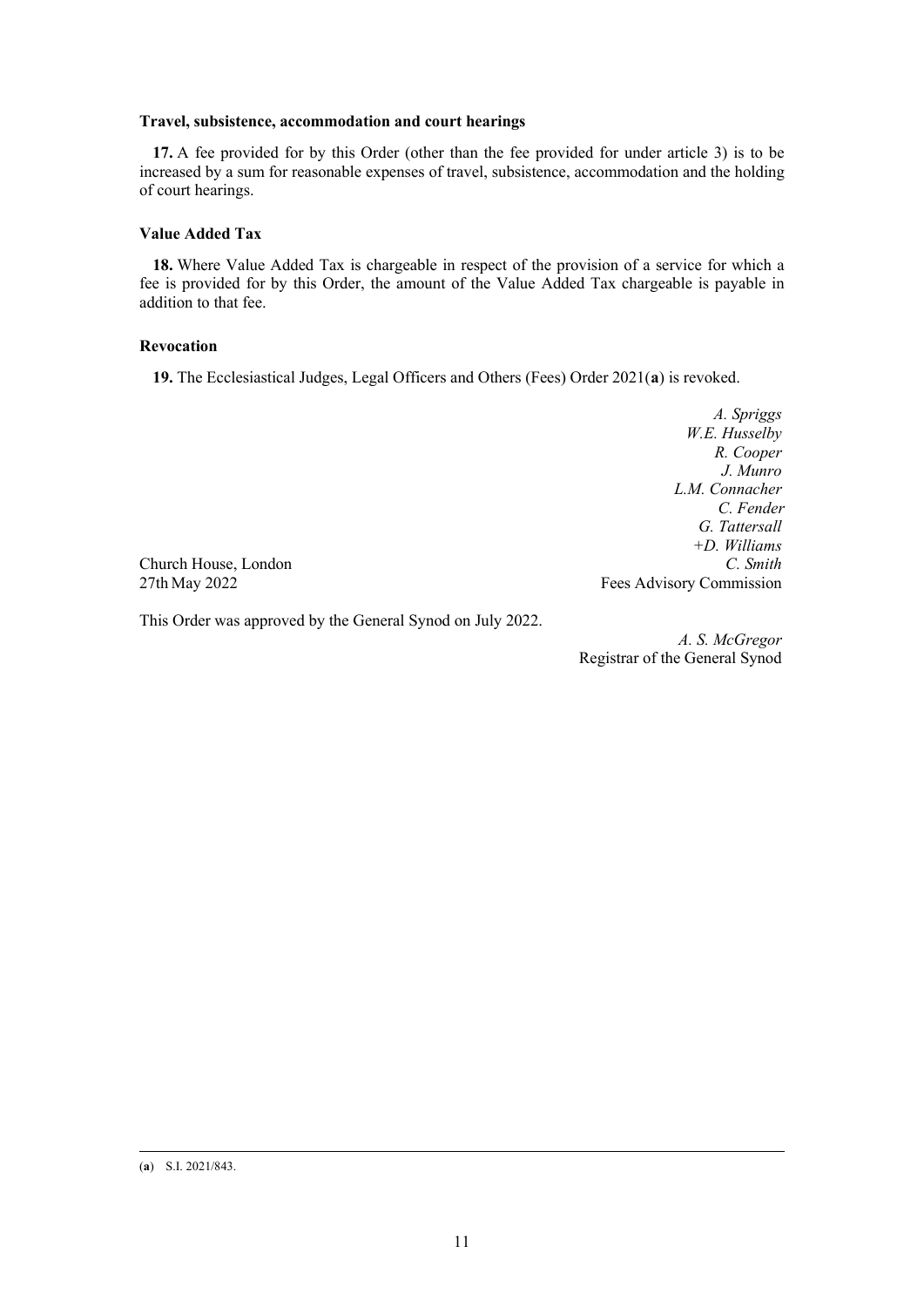## **Travel, subsistence, accommodation and court hearings**

**17.** A fee provided for by this Order (other than the fee provided for under article 3) is to be increased by a sum for reasonable expenses of travel, subsistence, accommodation and the holding of court hearings.

## **Value Added Tax**

**18.** Where Value Added Tax is chargeable in respect of the provision of a service for which a fee is provided for by this Order, the amount of the Value Added Tax chargeable is payable in addition to that fee.

## **Revocation**

**19.** The Ecclesiastical Judges, Legal Officers and Others (Fees) Order 2021(**[a](#page-10-0)**) is revoked.

*A. Spriggs W.E. Husselby R. Cooper J. Munro L.M. Connacher C. Fender G. Tattersall +D. Williams* 27th May 2022 **Fees Advisory Commission** 

Church House, London *C. Smith*

This Order was approved by the General Synod on July 2022.

*A. S. McGregor* Registrar of the General Synod

<span id="page-10-0"></span>(**a**) S.I. 2021/843.